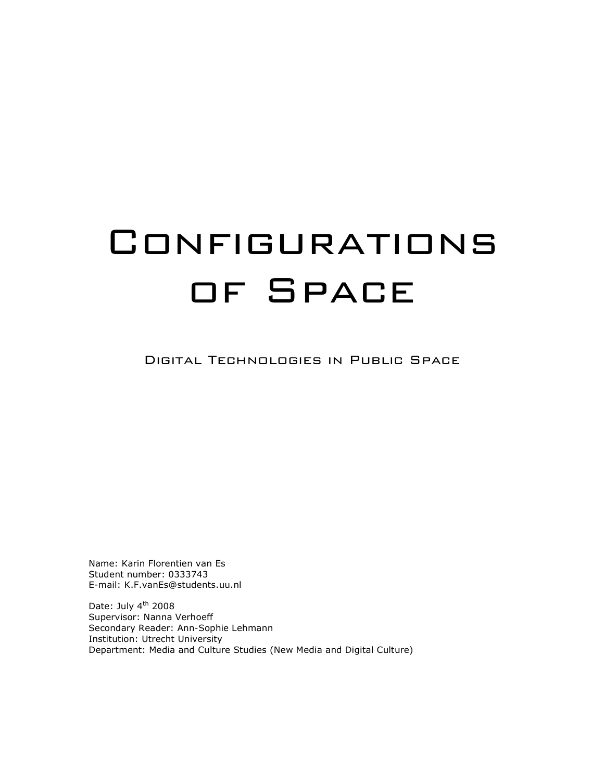# **CONFIGURATIONS** of Space

Digital Technologies in Public Space

Name: Karin Florentien van Es Student number: 0333743 E-mail: K.F.vanEs@students.uu.nl

Date: July 4<sup>th</sup> 2008 Supervisor: Nanna Verhoeff Secondary Reader: Ann-Sophie Lehmann Institution: Utrecht University Department: Media and Culture Studies (New Media and Digital Culture)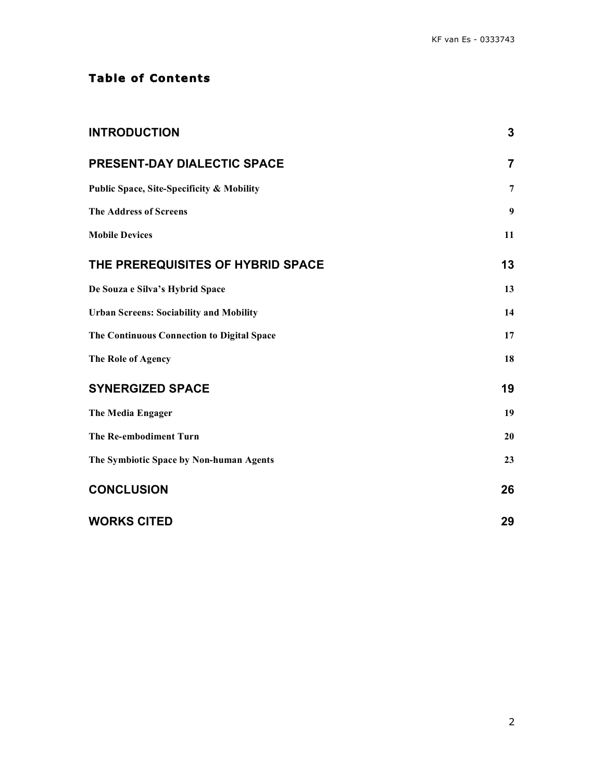# **Tab le of Contents**

| <b>INTRODUCTION</b>                                  | 3                |
|------------------------------------------------------|------------------|
| PRESENT-DAY DIALECTIC SPACE                          | $\overline{7}$   |
| <b>Public Space, Site-Specificity &amp; Mobility</b> | $\overline{7}$   |
| <b>The Address of Screens</b>                        | $\boldsymbol{9}$ |
| <b>Mobile Devices</b>                                | 11               |
| THE PREREQUISITES OF HYBRID SPACE                    | 13               |
| De Souza e Silva's Hybrid Space                      | 13               |
| <b>Urban Screens: Sociability and Mobility</b>       | 14               |
| <b>The Continuous Connection to Digital Space</b>    | 17               |
| The Role of Agency                                   | 18               |
| <b>SYNERGIZED SPACE</b>                              | 19               |
| <b>The Media Engager</b>                             | 19               |
| The Re-embodiment Turn                               | 20               |
| The Symbiotic Space by Non-human Agents              | 23               |
| <b>CONCLUSION</b>                                    | 26               |
| <b>WORKS CITED</b>                                   | 29               |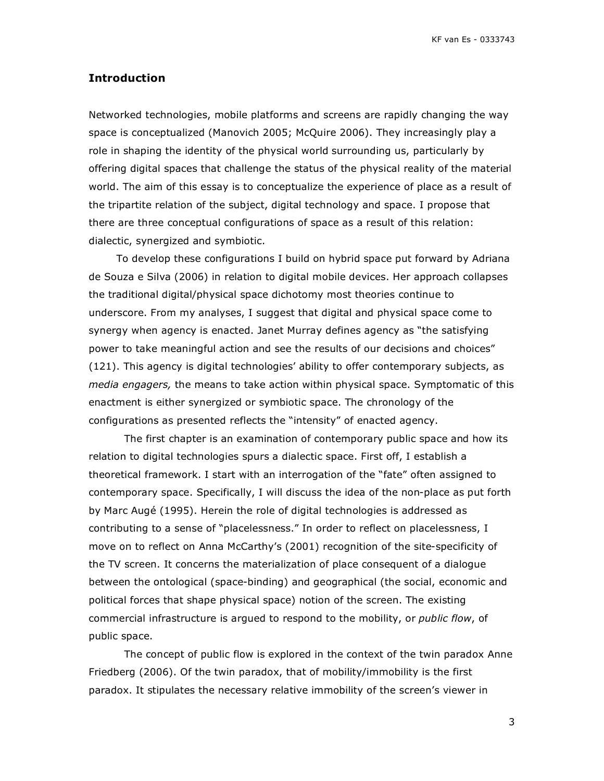# **Introduction**

Networked technologies, mobile platforms and screens are rapidly changing the way space is conceptualized (Manovich 2005; McQuire 2006). They increasingly play a role in shaping the identity of the physical world surrounding us, particularly by offering digital spaces that challenge the status of the physical reality of the material world. The aim of this essay is to conceptualize the experience of place as a result of the tripartite relation of the subject, digital technology and space. I propose that there are three conceptual configurations of space as a result of this relation: dialectic, synergized and symbiotic.

To develop these configurations I build on hybrid space put forward by Adriana de Souza e Silva (2006) in relation to digital mobile devices. Her approach collapses the traditional digital/physical space dichotomy most theories continue to underscore. From my analyses, I suggest that digital and physical space come to synergy when agency is enacted. Janet Murray defines agency as "the satisfying power to take meaningful action and see the results of our decisions and choices" (121). This agency is digital technologies' ability to offer contemporary subjects, as *media engagers,* the means to take action within physical space. Symptomatic of this enactment is either synergized or symbiotic space. The chronology of the configurations as presented reflects the "intensity" of enacted agency.

The first chapter is an examination of contemporary public space and how its relation to digital technologies spurs a dialectic space. First off, I establish a theoretical framework. I start with an interrogation of the "fate" often assigned to contemporary space. Specifically, I will discuss the idea of the non-place as put forth by Marc Augé (1995). Herein the role of digital technologies is addressed as contributing to a sense of "placelessness." In order to reflect on placelessness, I move on to reflect on Anna McCarthy's (2001) recognition of the site-specificity of the TV screen. It concerns the materialization of place consequent of a dialogue between the ontological (space-binding) and geographical (the social, economic and political forces that shape physical space) notion of the screen. The existing commercial infrastructure is argued to respond to the mobility, or *public flow*, of public space.

The concept of public flow is explored in the context of the twin paradox Anne Friedberg (2006). Of the twin paradox, that of mobility/immobility is the first paradox. It stipulates the necessary relative immobility of the screen's viewer in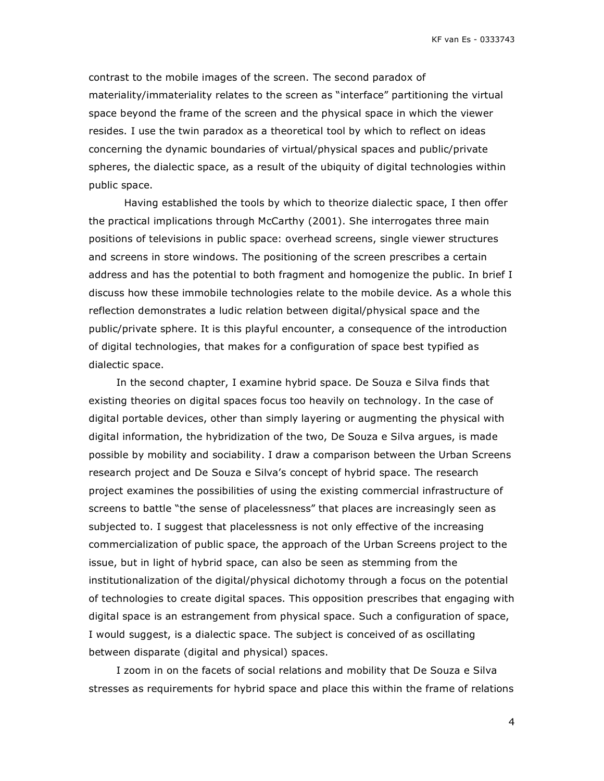contrast to the mobile images of the screen. The second paradox of materiality/immateriality relates to the screen as "interface" partitioning the virtual space beyond the frame of the screen and the physical space in which the viewer resides. I use the twin paradox as a theoretical tool by which to reflect on ideas concerning the dynamic boundaries of virtual/physical spaces and public/private spheres, the dialectic space, as a result of the ubiquity of digital technologies within public space.

Having established the tools by which to theorize dialectic space, I then offer the practical implications through McCarthy (2001). She interrogates three main positions of televisions in public space: overhead screens, single viewer structures and screens in store windows. The positioning of the screen prescribes a certain address and has the potential to both fragment and homogenize the public. In brief I discuss how these immobile technologies relate to the mobile device. As a whole this reflection demonstrates a ludic relation between digital/physical space and the public/private sphere. It is this playful encounter, a consequence of the introduction of digital technologies, that makes for a configuration of space best typified as dialectic space.

In the second chapter, I examine hybrid space. De Souza e Silva finds that existing theories on digital spaces focus too heavily on technology. In the case of digital portable devices, other than simply layering or augmenting the physical with digital information, the hybridization of the two, De Souza e Silva argues, is made possible by mobility and sociability. I draw a comparison between the Urban Screens research project and De Souza e Silva's concept of hybrid space. The research project examines the possibilities of using the existing commercial infrastructure of screens to battle "the sense of placelessness" that places are increasingly seen as subjected to. I suggest that placelessness is not only effective of the increasing commercialization of public space, the approach of the Urban Screens project to the issue, but in light of hybrid space, can also be seen as stemming from the institutionalization of the digital/physical dichotomy through a focus on the potential of technologies to create digital spaces. This opposition prescribes that engaging with digital space is an estrangement from physical space. Such a configuration of space, I would suggest, is a dialectic space. The subject is conceived of as oscillating between disparate (digital and physical) spaces.

I zoom in on the facets of social relations and mobility that De Souza e Silva stresses as requirements for hybrid space and place this within the frame of relations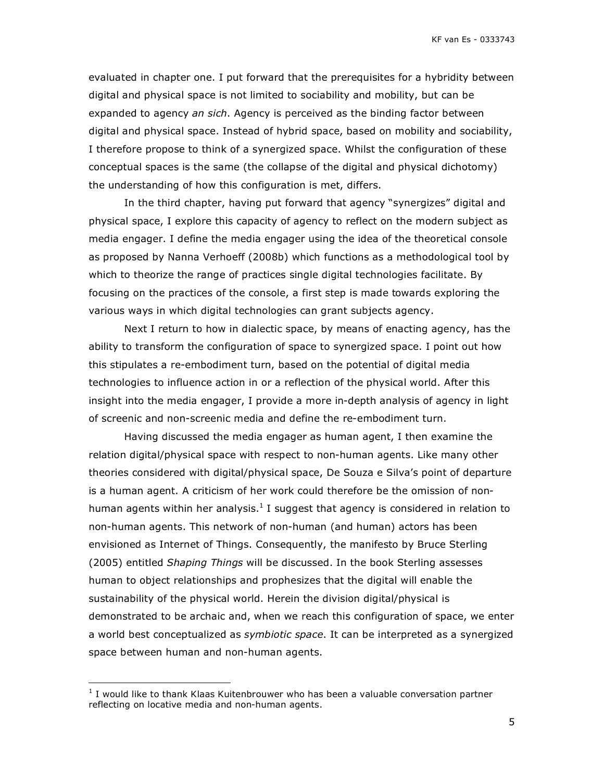evaluated in chapter one. I put forward that the prerequisites for a hybridity between digital and physical space is not limited to sociability and mobility, but can be expanded to agency *an sich*. Agency is perceived as the binding factor between digital and physical space. Instead of hybrid space, based on mobility and sociability, I therefore propose to think of a synergized space. Whilst the configuration of these conceptual spaces is the same (the collapse of the digital and physical dichotomy) the understanding of how this configuration is met, differs.

In the third chapter, having put forward that agency "synergizes" digital and physical space, I explore this capacity of agency to reflect on the modern subject as media engager. I define the media engager using the idea of the theoretical console as proposed by Nanna Verhoeff (2008b) which functions as a methodological tool by which to theorize the range of practices single digital technologies facilitate. By focusing on the practices of the console, a first step is made towards exploring the various ways in which digital technologies can grant subjects agency.

Next I return to how in dialectic space, by means of enacting agency, has the ability to transform the configuration of space to synergized space. I point out how this stipulates a re-embodiment turn, based on the potential of digital media technologies to influence action in or a reflection of the physical world. After this insight into the media engager, I provide a more in-depth analysis of agency in light of screenic and non-screenic media and define the re-embodiment turn.

Having discussed the media engager as human agent, I then examine the relation digital/physical space with respect to non-human agents. Like many other theories considered with digital/physical space, De Souza e Silva's point of departure is a human agent. A criticism of her work could therefore be the omission of nonhuman agents within her analysis.<sup>1</sup> I suggest that agency is considered in relation to non-human agents. This network of non-human (and human) actors has been envisioned as Internet of Things. Consequently, the manifesto by Bruce Sterling (2005) entitled *Shaping Things* will be discussed. In the book Sterling assesses human to object relationships and prophesizes that the digital will enable the sustainability of the physical world. Herein the division digital/physical is demonstrated to be archaic and, when we reach this configuration of space, we enter a world best conceptualized as *symbiotic space*. It can be interpreted as a synergized space between human and non-human agents.

 <sup>1</sup> I would like to thank Klaas Kuitenbrouwer who has been a valuable conversation partner reflecting on locative media and non-human agents.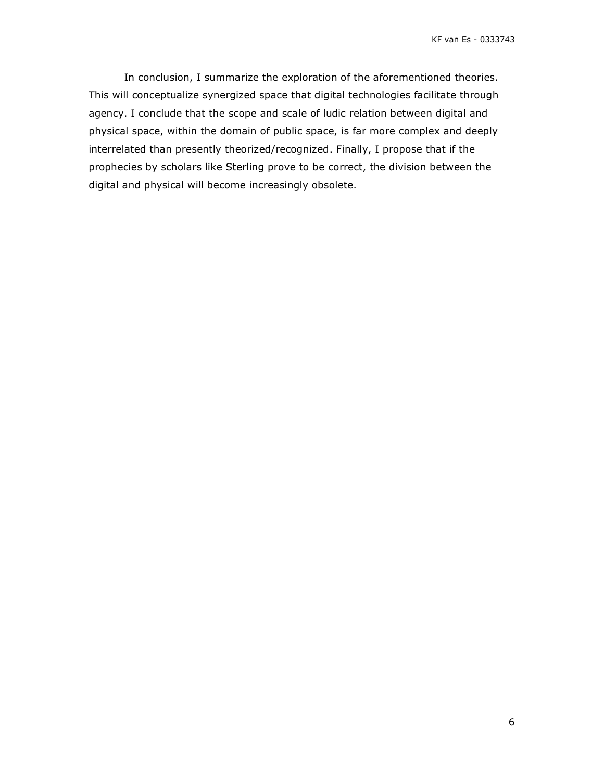In conclusion, I summarize the exploration of the aforementioned theories. This will conceptualize synergized space that digital technologies facilitate through agency. I conclude that the scope and scale of ludic relation between digital and physical space, within the domain of public space, is far more complex and deeply interrelated than presently theorized/recognized. Finally, I propose that if the prophecies by scholars like Sterling prove to be correct, the division between the digital and physical will become increasingly obsolete.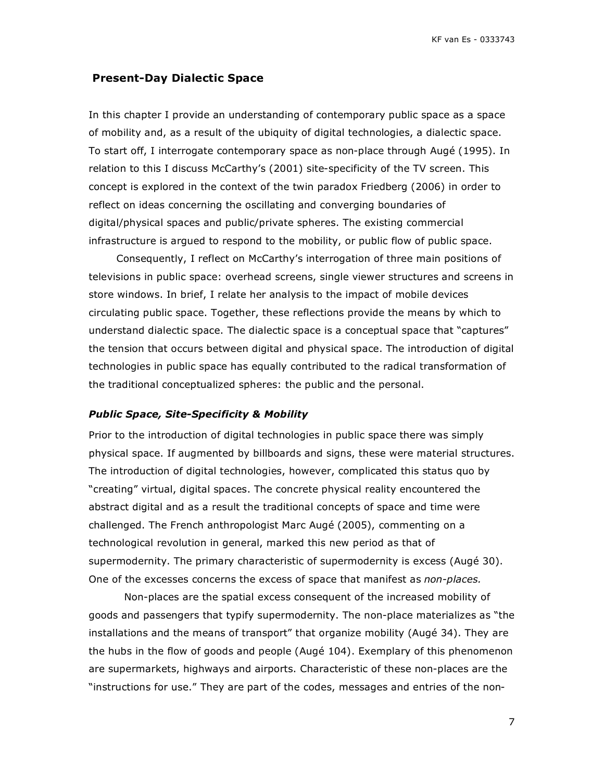# **Present-Day Dialectic Space**

In this chapter I provide an understanding of contemporary public space as a space of mobility and, as a result of the ubiquity of digital technologies, a dialectic space. To start off, I interrogate contemporary space as non-place through Augé (1995). In relation to this I discuss McCarthy's (2001) site-specificity of the TV screen. This concept is explored in the context of the twin paradox Friedberg (2006) in order to reflect on ideas concerning the oscillating and converging boundaries of digital/physical spaces and public/private spheres. The existing commercial infrastructure is argued to respond to the mobility, or public flow of public space.

Consequently, I reflect on McCarthy's interrogation of three main positions of televisions in public space: overhead screens, single viewer structures and screens in store windows. In brief, I relate her analysis to the impact of mobile devices circulating public space. Together, these reflections provide the means by which to understand dialectic space. The dialectic space is a conceptual space that "captures" the tension that occurs between digital and physical space. The introduction of digital technologies in public space has equally contributed to the radical transformation of the traditional conceptualized spheres: the public and the personal.

#### *Public Space, Site-Specificity & Mobility*

Prior to the introduction of digital technologies in public space there was simply physical space. If augmented by billboards and signs, these were material structures. The introduction of digital technologies, however, complicated this status quo by "creating" virtual, digital spaces. The concrete physical reality encountered the abstract digital and as a result the traditional concepts of space and time were challenged. The French anthropologist Marc Augé (2005), commenting on a technological revolution in general, marked this new period as that of supermodernity. The primary characteristic of supermodernity is excess (Augé 30). One of the excesses concerns the excess of space that manifest as *non-places.*

Non-places are the spatial excess consequent of the increased mobility of goods and passengers that typify supermodernity. The non-place materializes as "the installations and the means of transport" that organize mobility (Augé 34). They are the hubs in the flow of goods and people (Augé 104). Exemplary of this phenomenon are supermarkets, highways and airports. Characteristic of these non-places are the "instructions for use." They are part of the codes, messages and entries of the non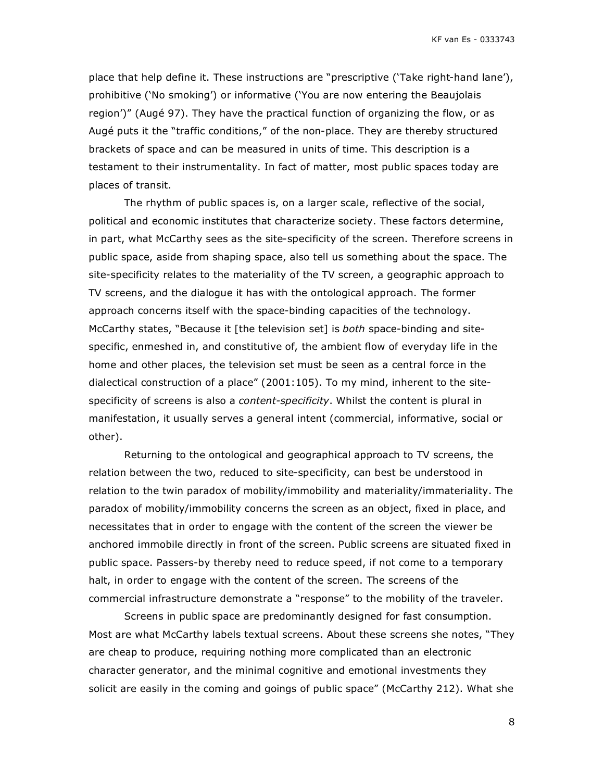place that help define it. These instructions are "prescriptive ('Take right-hand lane'), prohibitive ('No smoking') or informative ('You are now entering the Beaujolais region')" (Augé 97). They have the practical function of organizing the flow, or as Augé puts it the "traffic conditions," of the non-place. They are thereby structured brackets of space and can be measured in units of time. This description is a testament to their instrumentality. In fact of matter, most public spaces today are places of transit.

The rhythm of public spaces is, on a larger scale, reflective of the social, political and economic institutes that characterize society. These factors determine, in part, what McCarthy sees as the site-specificity of the screen. Therefore screens in public space, aside from shaping space, also tell us something about the space. The site-specificity relates to the materiality of the TV screen, a geographic approach to TV screens, and the dialogue it has with the ontological approach. The former approach concerns itself with the space-binding capacities of the technology. McCarthy states, "Because it [the television set] is *both* space-binding and sitespecific, enmeshed in, and constitutive of, the ambient flow of everyday life in the home and other places, the television set must be seen as a central force in the dialectical construction of a place" (2001:105). To my mind, inherent to the sitespecificity of screens is also a *content-specificity*. Whilst the content is plural in manifestation, it usually serves a general intent (commercial, informative, social or other).

Returning to the ontological and geographical approach to TV screens, the relation between the two, reduced to site-specificity, can best be understood in relation to the twin paradox of mobility/immobility and materiality/immateriality. The paradox of mobility/immobility concerns the screen as an object, fixed in place, and necessitates that in order to engage with the content of the screen the viewer be anchored immobile directly in front of the screen. Public screens are situated fixed in public space. Passers-by thereby need to reduce speed, if not come to a temporary halt, in order to engage with the content of the screen. The screens of the commercial infrastructure demonstrate a "response" to the mobility of the traveler.

Screens in public space are predominantly designed for fast consumption. Most are what McCarthy labels textual screens. About these screens she notes, "They are cheap to produce, requiring nothing more complicated than an electronic character generator, and the minimal cognitive and emotional investments they solicit are easily in the coming and goings of public space" (McCarthy 212). What she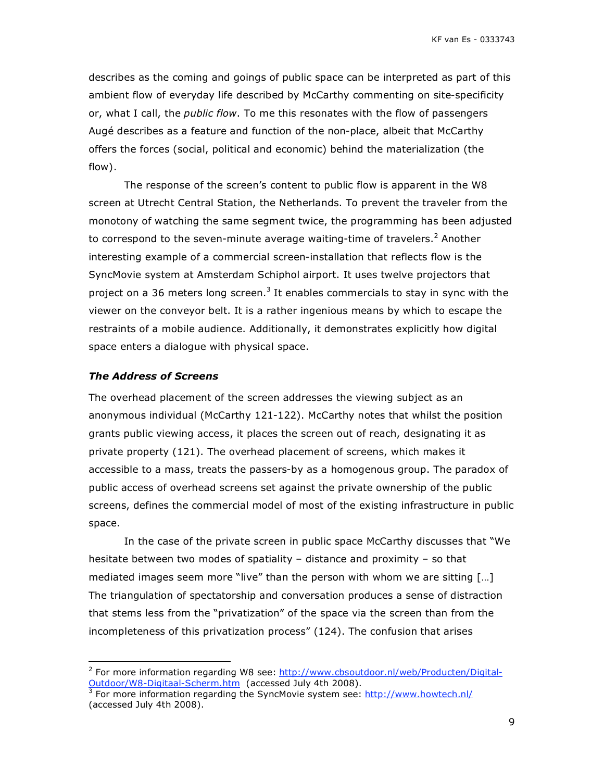describes as the coming and goings of public space can be interpreted as part of this ambient flow of everyday life described by McCarthy commenting on site-specificity or, what I call, the *public flow*. To me this resonates with the flow of passengers Augé describes as a feature and function of the non-place, albeit that McCarthy offers the forces (social, political and economic) behind the materialization (the flow).

The response of the screen's content to public flow is apparent in the W8 screen at Utrecht Central Station, the Netherlands. To prevent the traveler from the monotony of watching the same segment twice, the programming has been adjusted to correspond to the seven-minute average waiting-time of travelers.<sup>2</sup> Another interesting example of a commercial screen-installation that reflects flow is the SyncMovie system at Amsterdam Schiphol airport. It uses twelve projectors that project on a 36 meters long screen.<sup>3</sup> It enables commercials to stay in sync with the viewer on the conveyor belt. It is a rather ingenious means by which to escape the restraints of a mobile audience. Additionally, it demonstrates explicitly how digital space enters a dialogue with physical space.

#### *The Address of Screens*

The overhead placement of the screen addresses the viewing subject as an anonymous individual (McCarthy 121-122). McCarthy notes that whilst the position grants public viewing access, it places the screen out of reach, designating it as private property (121). The overhead placement of screens, which makes it accessible to a mass, treats the passers-by as a homogenous group. The paradox of public access of overhead screens set against the private ownership of the public screens, defines the commercial model of most of the existing infrastructure in public space.

In the case of the private screen in public space McCarthy discusses that "We hesitate between two modes of spatiality – distance and proximity – so that mediated images seem more "live" than the person with whom we are sitting […] The triangulation of spectatorship and conversation produces a sense of distraction that stems less from the "privatization" of the space via the screen than from the incompleteness of this privatization process" (124). The confusion that arises

 <sup>2</sup> For more information regarding W8 see: http://www.cbsoutdoor.nl/web/Producten/Digital-Outdoor/W8-Digitaal-Scherm.htm (accessed July 4th 2008).<br><sup>3</sup> Fer mere information regarding the SyncMovie system see:

For more information regarding the SyncMovie system see: http://www.howtech.nl/ (accessed July 4th 2008).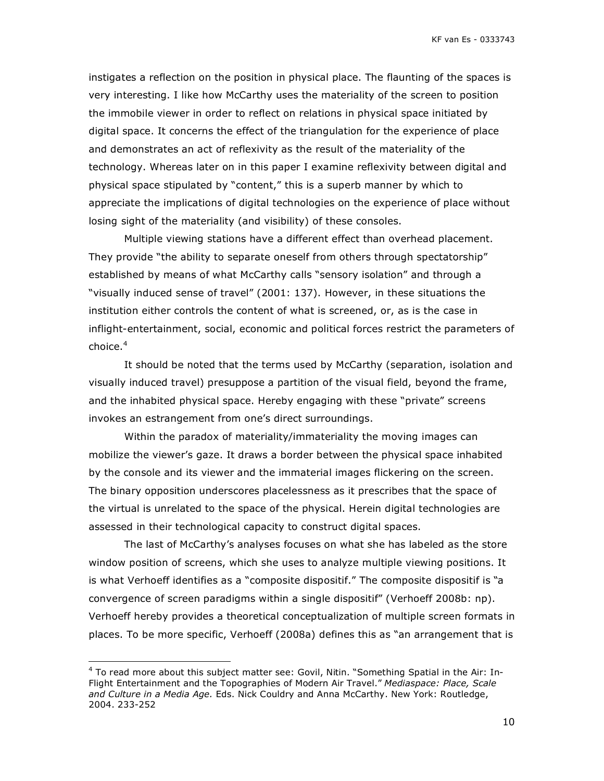instigates a reflection on the position in physical place. The flaunting of the spaces is very interesting. I like how McCarthy uses the materiality of the screen to position the immobile viewer in order to reflect on relations in physical space initiated by digital space. It concerns the effect of the triangulation for the experience of place and demonstrates an act of reflexivity as the result of the materiality of the technology. Whereas later on in this paper I examine reflexivity between digital and physical space stipulated by "content," this is a superb manner by which to appreciate the implications of digital technologies on the experience of place without losing sight of the materiality (and visibility) of these consoles.

Multiple viewing stations have a different effect than overhead placement. They provide "the ability to separate oneself from others through spectatorship" established by means of what McCarthy calls "sensory isolation" and through a "visually induced sense of travel" (2001: 137). However, in these situations the institution either controls the content of what is screened, or, as is the case in inflight-entertainment, social, economic and political forces restrict the parameters of choice. $4$ 

It should be noted that the terms used by McCarthy (separation, isolation and visually induced travel) presuppose a partition of the visual field, beyond the frame, and the inhabited physical space. Hereby engaging with these "private" screens invokes an estrangement from one's direct surroundings.

Within the paradox of materiality/immateriality the moving images can mobilize the viewer's gaze. It draws a border between the physical space inhabited by the console and its viewer and the immaterial images flickering on the screen. The binary opposition underscores placelessness as it prescribes that the space of the virtual is unrelated to the space of the physical. Herein digital technologies are assessed in their technological capacity to construct digital spaces.

The last of McCarthy's analyses focuses on what she has labeled as the store window position of screens, which she uses to analyze multiple viewing positions. It is what Verhoeff identifies as a "composite dispositif." The composite dispositif is "a convergence of screen paradigms within a single dispositif" (Verhoeff 2008b: np). Verhoeff hereby provides a theoretical conceptualization of multiple screen formats in places. To be more specific, Verhoeff (2008a) defines this as "an arrangement that is

 <sup>4</sup> To read more about this subject matter see: Govil, Nitin. "Something Spatial in the Air: In-Flight Entertainment and the Topographies of Modern Air Travel." *Mediaspace: Place, Scale and Culture in a Media Age.* Eds. Nick Couldry and Anna McCarthy. New York: Routledge, 2004. 233-252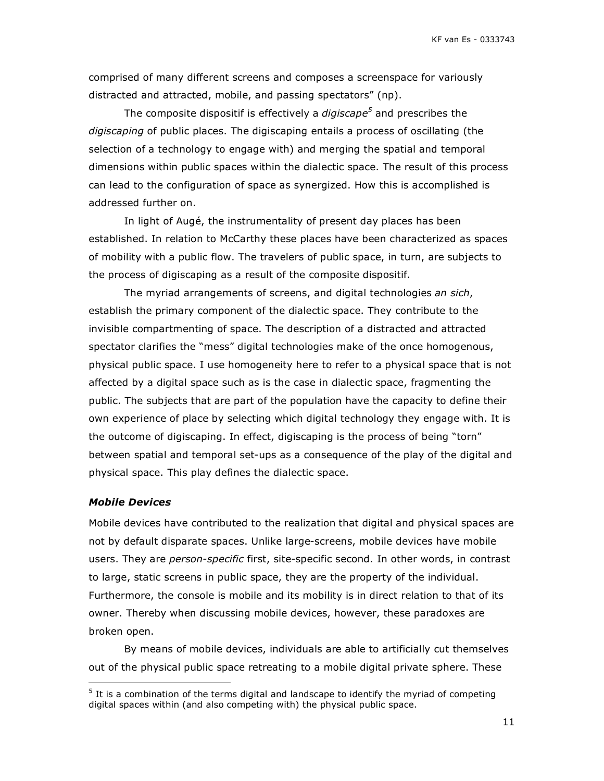comprised of many different screens and composes a screenspace for variously distracted and attracted, mobile, and passing spectators" (np).

The composite dispositif is effectively a *digiscape<sup>5</sup>* and prescribes the *digiscaping* of public places. The digiscaping entails a process of oscillating (the selection of a technology to engage with) and merging the spatial and temporal dimensions within public spaces within the dialectic space. The result of this process can lead to the configuration of space as synergized. How this is accomplished is addressed further on.

In light of Augé, the instrumentality of present day places has been established. In relation to McCarthy these places have been characterized as spaces of mobility with a public flow. The travelers of public space, in turn, are subjects to the process of digiscaping as a result of the composite dispositif.

The myriad arrangements of screens, and digital technologies *an sich*, establish the primary component of the dialectic space. They contribute to the invisible compartmenting of space. The description of a distracted and attracted spectator clarifies the "mess" digital technologies make of the once homogenous, physical public space. I use homogeneity here to refer to a physical space that is not affected by a digital space such as is the case in dialectic space, fragmenting the public. The subjects that are part of the population have the capacity to define their own experience of place by selecting which digital technology they engage with. It is the outcome of digiscaping. In effect, digiscaping is the process of being "torn" between spatial and temporal set-ups as a consequence of the play of the digital and physical space. This play defines the dialectic space.

#### *Mobile Devices*

Mobile devices have contributed to the realization that digital and physical spaces are not by default disparate spaces. Unlike large-screens, mobile devices have mobile users. They are *person-specific* first, site-specific second. In other words, in contrast to large, static screens in public space, they are the property of the individual. Furthermore, the console is mobile and its mobility is in direct relation to that of its owner. Thereby when discussing mobile devices, however, these paradoxes are broken open.

By means of mobile devices, individuals are able to artificially cut themselves out of the physical public space retreating to a mobile digital private sphere. These

 <sup>5</sup> It is a combination of the terms digital and landscape to identify the myriad of competing digital spaces within (and also competing with) the physical public space.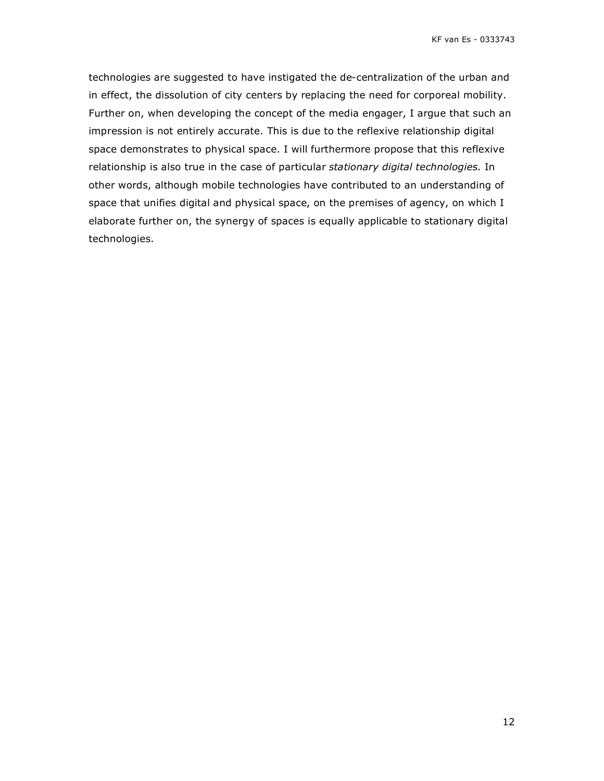technologies are suggested to have instigated the de-centralization of the urban and in effect, the dissolution of city centers by replacing the need for corporeal mobility. Further on, when developing the concept of the media engager, I argue that such an impression is not entirely accurate. This is due to the reflexive relationship digital space demonstrates to physical space. I will furthermore propose that this reflexive relationship is also true in the case of particular *stationary digital technologies.* In other words, although mobile technologies have contributed to an understanding of space that unifies digital and physical space, on the premises of agency, on which I elaborate further on, the synergy of spaces is equally applicable to stationary digital technologies.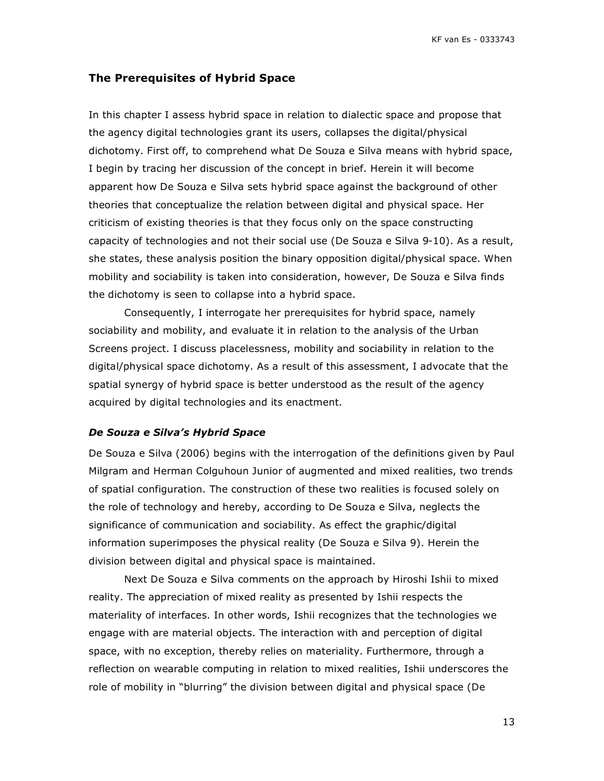### **The Prerequisites of Hybrid Space**

In this chapter I assess hybrid space in relation to dialectic space and propose that the agency digital technologies grant its users, collapses the digital/physical dichotomy. First off, to comprehend what De Souza e Silva means with hybrid space, I begin by tracing her discussion of the concept in brief. Herein it will become apparent how De Souza e Silva sets hybrid space against the background of other theories that conceptualize the relation between digital and physical space. Her criticism of existing theories is that they focus only on the space constructing capacity of technologies and not their social use (De Souza e Silva 9-10). As a result, she states, these analysis position the binary opposition digital/physical space. When mobility and sociability is taken into consideration, however, De Souza e Silva finds the dichotomy is seen to collapse into a hybrid space.

Consequently, I interrogate her prerequisites for hybrid space, namely sociability and mobility, and evaluate it in relation to the analysis of the Urban Screens project. I discuss placelessness, mobility and sociability in relation to the digital/physical space dichotomy. As a result of this assessment, I advocate that the spatial synergy of hybrid space is better understood as the result of the agency acquired by digital technologies and its enactment.

#### *De Souza e Silva's Hybrid Space*

De Souza e Silva (2006) begins with the interrogation of the definitions given by Paul Milgram and Herman Colguhoun Junior of augmented and mixed realities, two trends of spatial configuration. The construction of these two realities is focused solely on the role of technology and hereby, according to De Souza e Silva, neglects the significance of communication and sociability. As effect the graphic/digital information superimposes the physical reality (De Souza e Silva 9). Herein the division between digital and physical space is maintained.

Next De Souza e Silva comments on the approach by Hiroshi Ishii to mixed reality. The appreciation of mixed reality as presented by Ishii respects the materiality of interfaces. In other words, Ishii recognizes that the technologies we engage with are material objects. The interaction with and perception of digital space, with no exception, thereby relies on materiality. Furthermore, through a reflection on wearable computing in relation to mixed realities, Ishii underscores the role of mobility in "blurring" the division between digital and physical space (De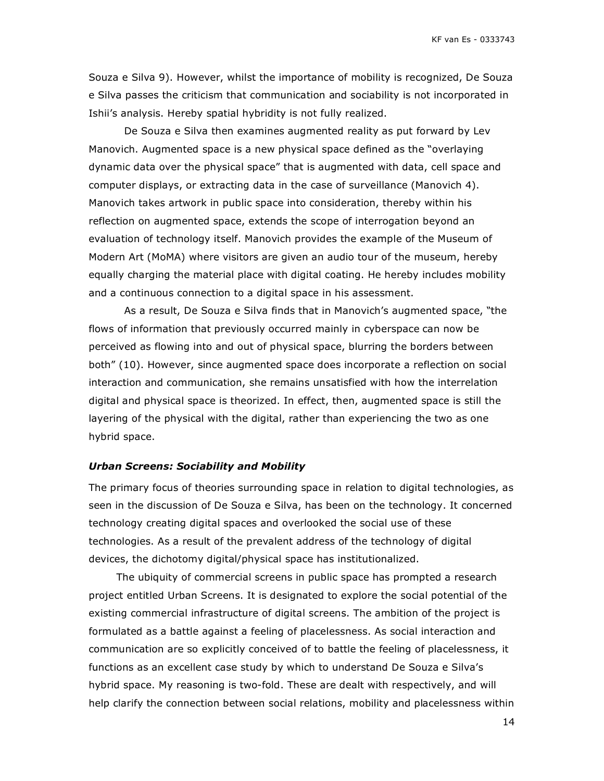Souza e Silva 9). However, whilst the importance of mobility is recognized, De Souza e Silva passes the criticism that communication and sociability is not incorporated in Ishii's analysis. Hereby spatial hybridity is not fully realized.

De Souza e Silva then examines augmented reality as put forward by Lev Manovich. Augmented space is a new physical space defined as the "overlaying dynamic data over the physical space" that is augmented with data, cell space and computer displays, or extracting data in the case of surveillance (Manovich 4). Manovich takes artwork in public space into consideration, thereby within his reflection on augmented space, extends the scope of interrogation beyond an evaluation of technology itself. Manovich provides the example of the Museum of Modern Art (MoMA) where visitors are given an audio tour of the museum, hereby equally charging the material place with digital coating. He hereby includes mobility and a continuous connection to a digital space in his assessment.

As a result, De Souza e Silva finds that in Manovich's augmented space, "the flows of information that previously occurred mainly in cyberspace can now be perceived as flowing into and out of physical space, blurring the borders between both" (10). However, since augmented space does incorporate a reflection on social interaction and communication, she remains unsatisfied with how the interrelation digital and physical space is theorized. In effect, then, augmented space is still the layering of the physical with the digital, rather than experiencing the two as one hybrid space.

#### *Urban Screens: Sociability and Mobility*

The primary focus of theories surrounding space in relation to digital technologies, as seen in the discussion of De Souza e Silva, has been on the technology. It concerned technology creating digital spaces and overlooked the social use of these technologies. As a result of the prevalent address of the technology of digital devices, the dichotomy digital/physical space has institutionalized.

The ubiquity of commercial screens in public space has prompted a research project entitled Urban Screens. It is designated to explore the social potential of the existing commercial infrastructure of digital screens. The ambition of the project is formulated as a battle against a feeling of placelessness. As social interaction and communication are so explicitly conceived of to battle the feeling of placelessness, it functions as an excellent case study by which to understand De Souza e Silva's hybrid space. My reasoning is two-fold. These are dealt with respectively, and will help clarify the connection between social relations, mobility and placelessness within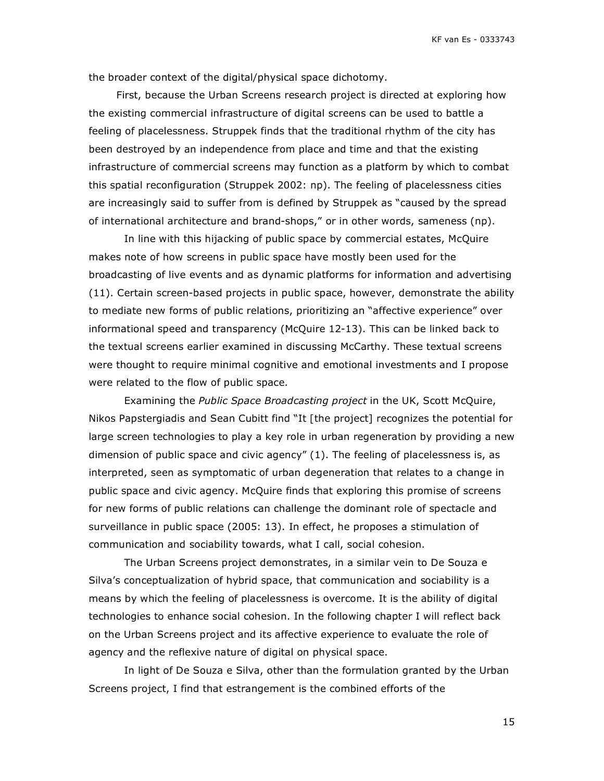the broader context of the digital/physical space dichotomy.

First, because the Urban Screens research project is directed at exploring how the existing commercial infrastructure of digital screens can be used to battle a feeling of placelessness. Struppek finds that the traditional rhythm of the city has been destroyed by an independence from place and time and that the existing infrastructure of commercial screens may function as a platform by which to combat this spatial reconfiguration (Struppek 2002: np). The feeling of placelessness cities are increasingly said to suffer from is defined by Struppek as "caused by the spread of international architecture and brand-shops," or in other words, sameness (np).

In line with this hijacking of public space by commercial estates, McQuire makes note of how screens in public space have mostly been used for the broadcasting of live events and as dynamic platforms for information and advertising (11). Certain screen-based projects in public space, however, demonstrate the ability to mediate new forms of public relations, prioritizing an "affective experience" over informational speed and transparency (McQuire 12-13). This can be linked back to the textual screens earlier examined in discussing McCarthy. These textual screens were thought to require minimal cognitive and emotional investments and I propose were related to the flow of public space.

Examining the *Public Space Broadcasting project* in the UK, Scott McQuire, Nikos Papstergiadis and Sean Cubitt find "It [the project] recognizes the potential for large screen technologies to play a key role in urban regeneration by providing a new dimension of public space and civic agency" (1). The feeling of placelessness is, as interpreted, seen as symptomatic of urban degeneration that relates to a change in public space and civic agency. McQuire finds that exploring this promise of screens for new forms of public relations can challenge the dominant role of spectacle and surveillance in public space (2005: 13). In effect, he proposes a stimulation of communication and sociability towards, what I call, social cohesion.

The Urban Screens project demonstrates, in a similar vein to De Souza e Silva's conceptualization of hybrid space, that communication and sociability is a means by which the feeling of placelessness is overcome. It is the ability of digital technologies to enhance social cohesion. In the following chapter I will reflect back on the Urban Screens project and its affective experience to evaluate the role of agency and the reflexive nature of digital on physical space.

In light of De Souza e Silva, other than the formulation granted by the Urban Screens project, I find that estrangement is the combined efforts of the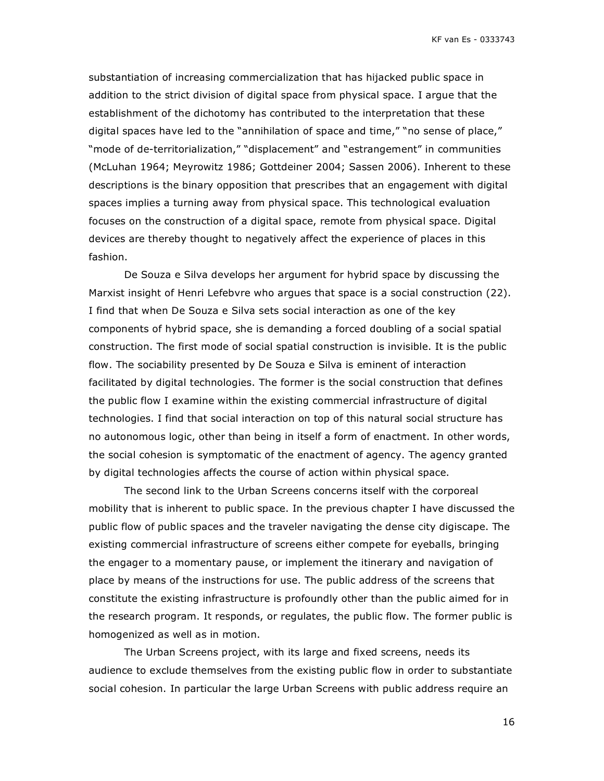substantiation of increasing commercialization that has hijacked public space in addition to the strict division of digital space from physical space. I argue that the establishment of the dichotomy has contributed to the interpretation that these digital spaces have led to the "annihilation of space and time," "no sense of place," "mode of de-territorialization," "displacement" and "estrangement" in communities (McLuhan 1964; Meyrowitz 1986; Gottdeiner 2004; Sassen 2006). Inherent to these descriptions is the binary opposition that prescribes that an engagement with digital spaces implies a turning away from physical space. This technological evaluation focuses on the construction of a digital space, remote from physical space. Digital devices are thereby thought to negatively affect the experience of places in this fashion.

De Souza e Silva develops her argument for hybrid space by discussing the Marxist insight of Henri Lefebvre who argues that space is a social construction (22). I find that when De Souza e Silva sets social interaction as one of the key components of hybrid space, she is demanding a forced doubling of a social spatial construction. The first mode of social spatial construction is invisible. It is the public flow. The sociability presented by De Souza e Silva is eminent of interaction facilitated by digital technologies. The former is the social construction that defines the public flow I examine within the existing commercial infrastructure of digital technologies. I find that social interaction on top of this natural social structure has no autonomous logic, other than being in itself a form of enactment. In other words, the social cohesion is symptomatic of the enactment of agency. The agency granted by digital technologies affects the course of action within physical space.

The second link to the Urban Screens concerns itself with the corporeal mobility that is inherent to public space. In the previous chapter I have discussed the public flow of public spaces and the traveler navigating the dense city digiscape. The existing commercial infrastructure of screens either compete for eyeballs, bringing the engager to a momentary pause, or implement the itinerary and navigation of place by means of the instructions for use. The public address of the screens that constitute the existing infrastructure is profoundly other than the public aimed for in the research program. It responds, or regulates, the public flow. The former public is homogenized as well as in motion.

The Urban Screens project, with its large and fixed screens, needs its audience to exclude themselves from the existing public flow in order to substantiate social cohesion. In particular the large Urban Screens with public address require an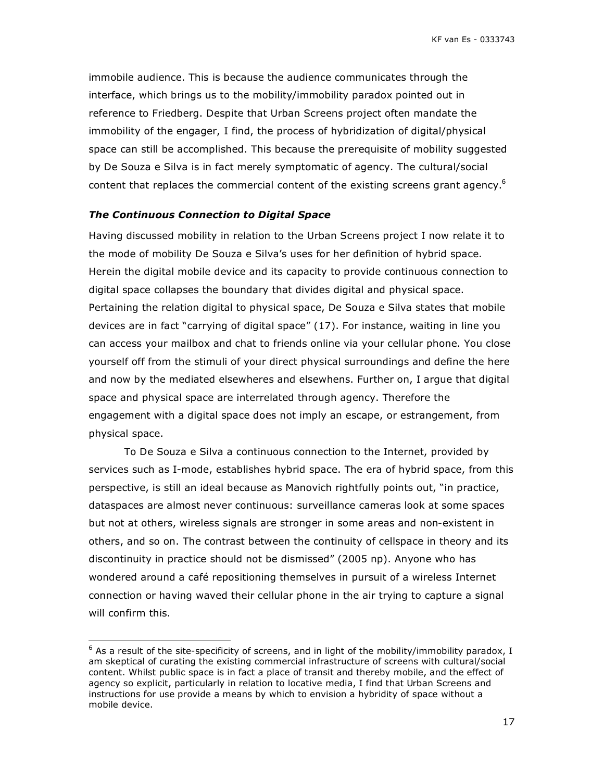immobile audience. This is because the audience communicates through the interface, which brings us to the mobility/immobility paradox pointed out in reference to Friedberg. Despite that Urban Screens project often mandate the immobility of the engager, I find, the process of hybridization of digital/physical space can still be accomplished. This because the prerequisite of mobility suggested by De Souza e Silva is in fact merely symptomatic of agency. The cultural/social content that replaces the commercial content of the existing screens grant agency.<sup>6</sup>

#### *The Continuous Connection to Digital Space*

Having discussed mobility in relation to the Urban Screens project I now relate it to the mode of mobility De Souza e Silva's uses for her definition of hybrid space. Herein the digital mobile device and its capacity to provide continuous connection to digital space collapses the boundary that divides digital and physical space. Pertaining the relation digital to physical space, De Souza e Silva states that mobile devices are in fact "carrying of digital space" (17). For instance, waiting in line you can access your mailbox and chat to friends online via your cellular phone. You close yourself off from the stimuli of your direct physical surroundings and define the here and now by the mediated elsewheres and elsewhens. Further on, I argue that digital space and physical space are interrelated through agency. Therefore the engagement with a digital space does not imply an escape, or estrangement, from physical space.

To De Souza e Silva a continuous connection to the Internet, provided by services such as I-mode, establishes hybrid space. The era of hybrid space, from this perspective, is still an ideal because as Manovich rightfully points out, "in practice, dataspaces are almost never continuous: surveillance cameras look at some spaces but not at others, wireless signals are stronger in some areas and non-existent in others, and so on. The contrast between the continuity of cellspace in theory and its discontinuity in practice should not be dismissed" (2005 np). Anyone who has wondered around a café repositioning themselves in pursuit of a wireless Internet connection or having waved their cellular phone in the air trying to capture a signal will confirm this.

 <sup>6</sup> As a result of the site-specificity of screens, and in light of the mobility/immobility paradox, I am skeptical of curating the existing commercial infrastructure of screens with cultural/social content. Whilst public space is in fact a place of transit and thereby mobile, and the effect of agency so explicit, particularly in relation to locative media, I find that Urban Screens and instructions for use provide a means by which to envision a hybridity of space without a mobile device.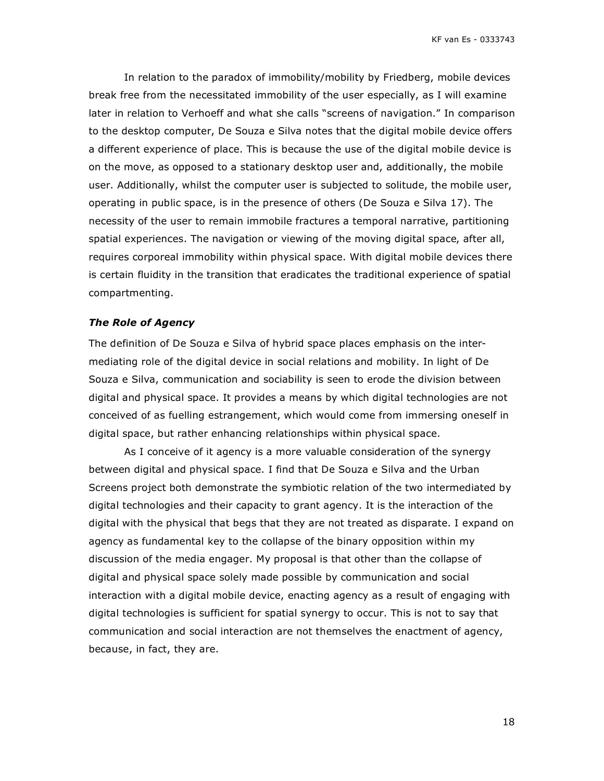In relation to the paradox of immobility/mobility by Friedberg, mobile devices break free from the necessitated immobility of the user especially, as I will examine later in relation to Verhoeff and what she calls "screens of navigation." In comparison to the desktop computer, De Souza e Silva notes that the digital mobile device offers a different experience of place. This is because the use of the digital mobile device is on the move, as opposed to a stationary desktop user and, additionally, the mobile user. Additionally, whilst the computer user is subjected to solitude, the mobile user, operating in public space, is in the presence of others (De Souza e Silva 17). The necessity of the user to remain immobile fractures a temporal narrative, partitioning spatial experiences. The navigation or viewing of the moving digital space, after all, requires corporeal immobility within physical space. With digital mobile devices there is certain fluidity in the transition that eradicates the traditional experience of spatial compartmenting.

#### *The Role of Agency*

The definition of De Souza e Silva of hybrid space places emphasis on the intermediating role of the digital device in social relations and mobility. In light of De Souza e Silva, communication and sociability is seen to erode the division between digital and physical space. It provides a means by which digital technologies are not conceived of as fuelling estrangement, which would come from immersing oneself in digital space, but rather enhancing relationships within physical space.

As I conceive of it agency is a more valuable consideration of the synergy between digital and physical space. I find that De Souza e Silva and the Urban Screens project both demonstrate the symbiotic relation of the two intermediated by digital technologies and their capacity to grant agency. It is the interaction of the digital with the physical that begs that they are not treated as disparate. I expand on agency as fundamental key to the collapse of the binary opposition within my discussion of the media engager. My proposal is that other than the collapse of digital and physical space solely made possible by communication and social interaction with a digital mobile device, enacting agency as a result of engaging with digital technologies is sufficient for spatial synergy to occur. This is not to say that communication and social interaction are not themselves the enactment of agency, because, in fact, they are.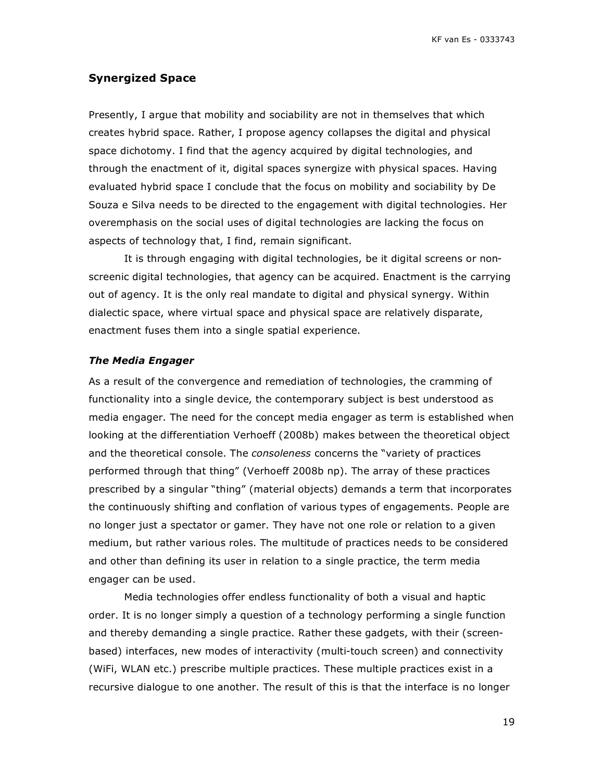# **Synergized Space**

Presently, I argue that mobility and sociability are not in themselves that which creates hybrid space. Rather, I propose agency collapses the digital and physical space dichotomy. I find that the agency acquired by digital technologies, and through the enactment of it, digital spaces synergize with physical spaces. Having evaluated hybrid space I conclude that the focus on mobility and sociability by De Souza e Silva needs to be directed to the engagement with digital technologies. Her overemphasis on the social uses of digital technologies are lacking the focus on aspects of technology that, I find, remain significant.

It is through engaging with digital technologies, be it digital screens or nonscreenic digital technologies, that agency can be acquired. Enactment is the carrying out of agency. It is the only real mandate to digital and physical synergy. Within dialectic space, where virtual space and physical space are relatively disparate, enactment fuses them into a single spatial experience.

#### *The Media Engager*

As a result of the convergence and remediation of technologies, the cramming of functionality into a single device, the contemporary subject is best understood as media engager. The need for the concept media engager as term is established when looking at the differentiation Verhoeff (2008b) makes between the theoretical object and the theoretical console. The *consoleness* concerns the "variety of practices performed through that thing" (Verhoeff 2008b np). The array of these practices prescribed by a singular "thing" (material objects) demands a term that incorporates the continuously shifting and conflation of various types of engagements. People are no longer just a spectator or gamer. They have not one role or relation to a given medium, but rather various roles. The multitude of practices needs to be considered and other than defining its user in relation to a single practice, the term media engager can be used.

Media technologies offer endless functionality of both a visual and haptic order. It is no longer simply a question of a technology performing a single function and thereby demanding a single practice. Rather these gadgets, with their (screenbased) interfaces, new modes of interactivity (multi-touch screen) and connectivity (WiFi, WLAN etc.) prescribe multiple practices. These multiple practices exist in a recursive dialogue to one another. The result of this is that the interface is no longer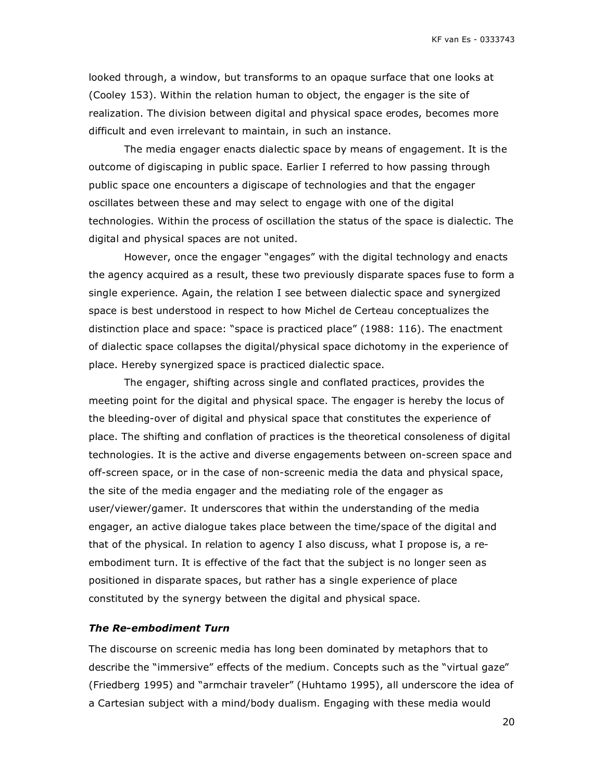looked through, a window, but transforms to an opaque surface that one looks at (Cooley 153). Within the relation human to object, the engager is the site of realization. The division between digital and physical space erodes, becomes more difficult and even irrelevant to maintain, in such an instance.

The media engager enacts dialectic space by means of engagement. It is the outcome of digiscaping in public space. Earlier I referred to how passing through public space one encounters a digiscape of technologies and that the engager oscillates between these and may select to engage with one of the digital technologies. Within the process of oscillation the status of the space is dialectic. The digital and physical spaces are not united.

However, once the engager "engages" with the digital technology and enacts the agency acquired as a result, these two previously disparate spaces fuse to form a single experience. Again, the relation I see between dialectic space and synergized space is best understood in respect to how Michel de Certeau conceptualizes the distinction place and space: "space is practiced place" (1988: 116). The enactment of dialectic space collapses the digital/physical space dichotomy in the experience of place. Hereby synergized space is practiced dialectic space.

The engager, shifting across single and conflated practices, provides the meeting point for the digital and physical space. The engager is hereby the locus of the bleeding-over of digital and physical space that constitutes the experience of place. The shifting and conflation of practices is the theoretical consoleness of digital technologies. It is the active and diverse engagements between on-screen space and off-screen space, or in the case of non-screenic media the data and physical space, the site of the media engager and the mediating role of the engager as user/viewer/gamer. It underscores that within the understanding of the media engager, an active dialogue takes place between the time/space of the digital and that of the physical. In relation to agency I also discuss, what I propose is, a reembodiment turn. It is effective of the fact that the subject is no longer seen as positioned in disparate spaces, but rather has a single experience of place constituted by the synergy between the digital and physical space.

#### *The Re-embodiment Turn*

The discourse on screenic media has long been dominated by metaphors that to describe the "immersive" effects of the medium. Concepts such as the "virtual gaze" (Friedberg 1995) and "armchair traveler" (Huhtamo 1995), all underscore the idea of a Cartesian subject with a mind/body dualism. Engaging with these media would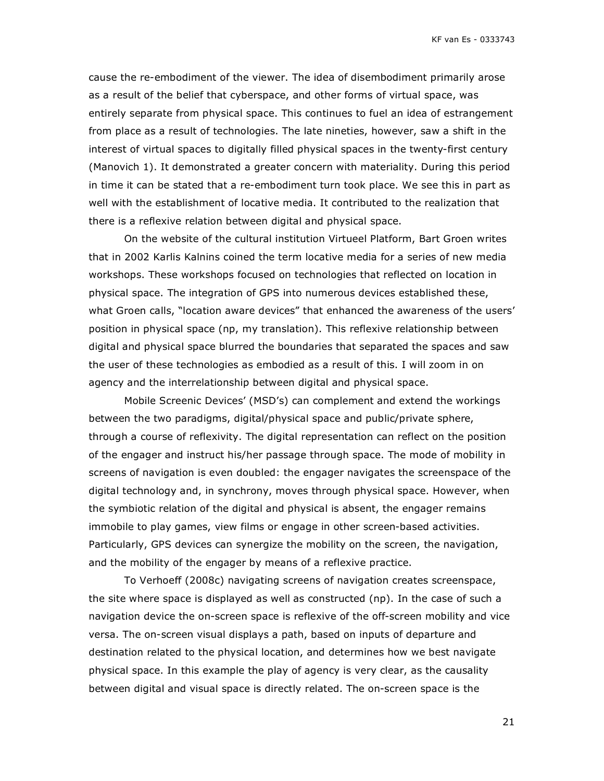cause the re-embodiment of the viewer. The idea of disembodiment primarily arose as a result of the belief that cyberspace, and other forms of virtual space, was entirely separate from physical space. This continues to fuel an idea of estrangement from place as a result of technologies. The late nineties, however, saw a shift in the interest of virtual spaces to digitally filled physical spaces in the twenty-first century (Manovich 1). It demonstrated a greater concern with materiality. During this period in time it can be stated that a re-embodiment turn took place. We see this in part as well with the establishment of locative media. It contributed to the realization that there is a reflexive relation between digital and physical space.

On the website of the cultural institution Virtueel Platform, Bart Groen writes that in 2002 Karlis Kalnins coined the term locative media for a series of new media workshops. These workshops focused on technologies that reflected on location in physical space. The integration of GPS into numerous devices established these, what Groen calls, "location aware devices" that enhanced the awareness of the users' position in physical space (np, my translation). This reflexive relationship between digital and physical space blurred the boundaries that separated the spaces and saw the user of these technologies as embodied as a result of this. I will zoom in on agency and the interrelationship between digital and physical space.

Mobile Screenic Devices' (MSD's) can complement and extend the workings between the two paradigms, digital/physical space and public/private sphere, through a course of reflexivity. The digital representation can reflect on the position of the engager and instruct his/her passage through space. The mode of mobility in screens of navigation is even doubled: the engager navigates the screenspace of the digital technology and, in synchrony, moves through physical space. However, when the symbiotic relation of the digital and physical is absent, the engager remains immobile to play games, view films or engage in other screen-based activities. Particularly, GPS devices can synergize the mobility on the screen, the navigation, and the mobility of the engager by means of a reflexive practice.

To Verhoeff (2008c) navigating screens of navigation creates screenspace, the site where space is displayed as well as constructed (np). In the case of such a navigation device the on-screen space is reflexive of the off-screen mobility and vice versa. The on-screen visual displays a path, based on inputs of departure and destination related to the physical location, and determines how we best navigate physical space. In this example the play of agency is very clear, as the causality between digital and visual space is directly related. The on-screen space is the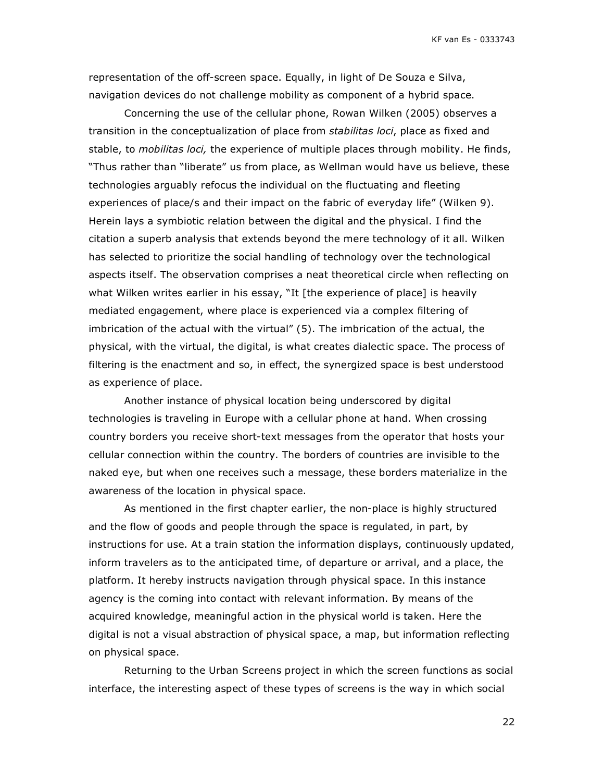representation of the off-screen space. Equally, in light of De Souza e Silva, navigation devices do not challenge mobility as component of a hybrid space.

Concerning the use of the cellular phone, Rowan Wilken (2005) observes a transition in the conceptualization of place from *stabilitas loci*, place as fixed and stable, to *mobilitas loci,* the experience of multiple places through mobility. He finds, "Thus rather than "liberate" us from place, as Wellman would have us believe, these technologies arguably refocus the individual on the fluctuating and fleeting experiences of place/s and their impact on the fabric of everyday life" (Wilken 9). Herein lays a symbiotic relation between the digital and the physical. I find the citation a superb analysis that extends beyond the mere technology of it all. Wilken has selected to prioritize the social handling of technology over the technological aspects itself. The observation comprises a neat theoretical circle when reflecting on what Wilken writes earlier in his essay, "It [the experience of place] is heavily mediated engagement, where place is experienced via a complex filtering of imbrication of the actual with the virtual" (5). The imbrication of the actual, the physical, with the virtual, the digital, is what creates dialectic space. The process of filtering is the enactment and so, in effect, the synergized space is best understood as experience of place.

Another instance of physical location being underscored by digital technologies is traveling in Europe with a cellular phone at hand. When crossing country borders you receive short-text messages from the operator that hosts your cellular connection within the country. The borders of countries are invisible to the naked eye, but when one receives such a message, these borders materialize in the awareness of the location in physical space.

As mentioned in the first chapter earlier, the non-place is highly structured and the flow of goods and people through the space is regulated, in part, by instructions for use. At a train station the information displays, continuously updated, inform travelers as to the anticipated time, of departure or arrival, and a place, the platform. It hereby instructs navigation through physical space. In this instance agency is the coming into contact with relevant information. By means of the acquired knowledge, meaningful action in the physical world is taken. Here the digital is not a visual abstraction of physical space, a map, but information reflecting on physical space.

Returning to the Urban Screens project in which the screen functions as social interface, the interesting aspect of these types of screens is the way in which social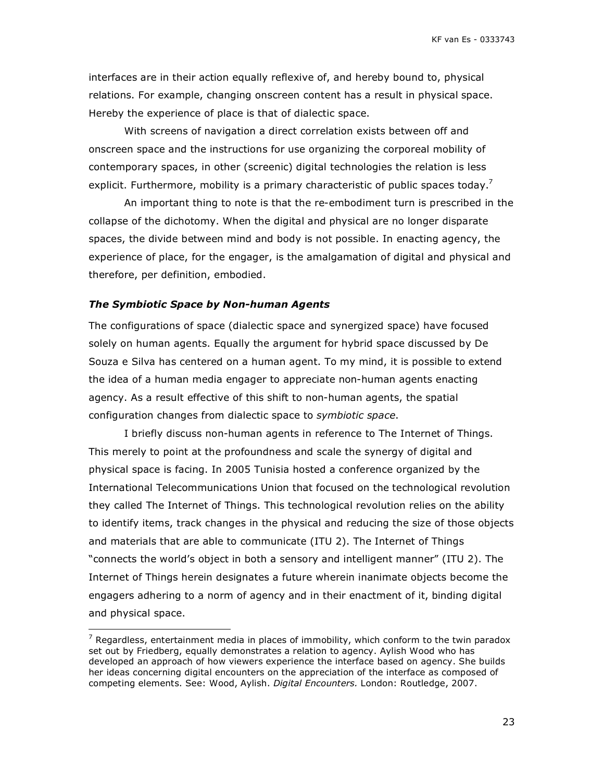interfaces are in their action equally reflexive of, and hereby bound to, physical relations. For example, changing onscreen content has a result in physical space. Hereby the experience of place is that of dialectic space.

With screens of navigation a direct correlation exists between off and onscreen space and the instructions for use organizing the corporeal mobility of contemporary spaces, in other (screenic) digital technologies the relation is less explicit. Furthermore, mobility is a primary characteristic of public spaces today.<sup>7</sup>

An important thing to note is that the re-embodiment turn is prescribed in the collapse of the dichotomy. When the digital and physical are no longer disparate spaces, the divide between mind and body is not possible. In enacting agency, the experience of place, for the engager, is the amalgamation of digital and physical and therefore, per definition, embodied.

#### *The Symbiotic Space by Non-human Agents*

The configurations of space (dialectic space and synergized space) have focused solely on human agents. Equally the argument for hybrid space discussed by De Souza e Silva has centered on a human agent. To my mind, it is possible to extend the idea of a human media engager to appreciate non-human agents enacting agency. As a result effective of this shift to non-human agents, the spatial configuration changes from dialectic space to *symbiotic space*.

I briefly discuss non-human agents in reference to The Internet of Things. This merely to point at the profoundness and scale the synergy of digital and physical space is facing. In 2005 Tunisia hosted a conference organized by the International Telecommunications Union that focused on the technological revolution they called The Internet of Things. This technological revolution relies on the ability to identify items, track changes in the physical and reducing the size of those objects and materials that are able to communicate (ITU 2). The Internet of Things "connects the world's object in both a sensory and intelligent manner" (ITU 2). The Internet of Things herein designates a future wherein inanimate objects become the engagers adhering to a norm of agency and in their enactment of it, binding digital and physical space.

 $\overline{7}$  Regardless, entertainment media in places of immobility, which conform to the twin paradox set out by Friedberg, equally demonstrates a relation to agency. Aylish Wood who has developed an approach of how viewers experience the interface based on agency. She builds her ideas concerning digital encounters on the appreciation of the interface as composed of competing elements. See: Wood, Aylish. *Digital Encounters.* London: Routledge, 2007.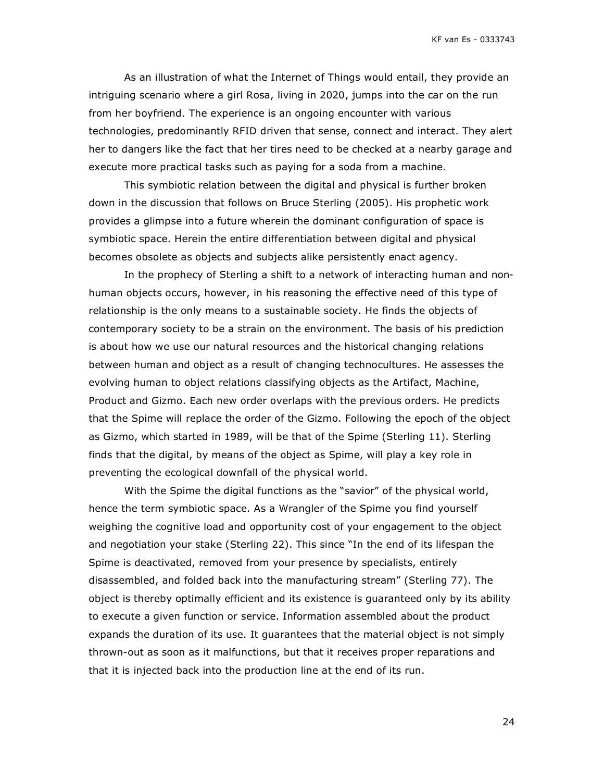As an illustration of what the Internet of Things would entail, they provide an intriguing scenario where a girl Rosa, living in 2020, jumps into the car on the run from her boyfriend. The experience is an ongoing encounter with various technologies, predominantly RFID driven that sense, connect and interact. They alert her to dangers like the fact that her tires need to be checked at a nearby garage and execute more practical tasks such as paying for a soda from a machine.

This symbiotic relation between the digital and physical is further broken down in the discussion that follows on Bruce Sterling (2005). His prophetic work provides a glimpse into a future wherein the dominant configuration of space is symbiotic space. Herein the entire differentiation between digital and physical becomes obsolete as objects and subjects alike persistently enact agency.

In the prophecy of Sterling a shift to a network of interacting human and nonhuman objects occurs, however, in his reasoning the effective need of this type of relationship is the only means to a sustainable society. He finds the objects of contemporary society to be a strain on the environment. The basis of his prediction is about how we use our natural resources and the historical changing relations between human and object as a result of changing technocultures. He assesses the evolving human to object relations classifying objects as the Artifact, Machine, Product and Gizmo. Each new order overlaps with the previous orders. He predicts that the Spime will replace the order of the Gizmo. Following the epoch of the object as Gizmo, which started in 1989, will be that of the Spime (Sterling 11). Sterling finds that the digital, by means of the object as Spime, will play a key role in preventing the ecological downfall of the physical world.

With the Spime the digital functions as the "savior" of the physical world, hence the term symbiotic space. As a Wrangler of the Spime you find yourself weighing the cognitive load and opportunity cost of your engagement to the object and negotiation your stake (Sterling 22). This since "In the end of its lifespan the Spime is deactivated, removed from your presence by specialists, entirely disassembled, and folded back into the manufacturing stream" (Sterling 77). The object is thereby optimally efficient and its existence is guaranteed only by its ability to execute a given function or service. Information assembled about the product expands the duration of its use. It guarantees that the material object is not simply thrown-out as soon as it malfunctions, but that it receives proper reparations and that it is injected back into the production line at the end of its run.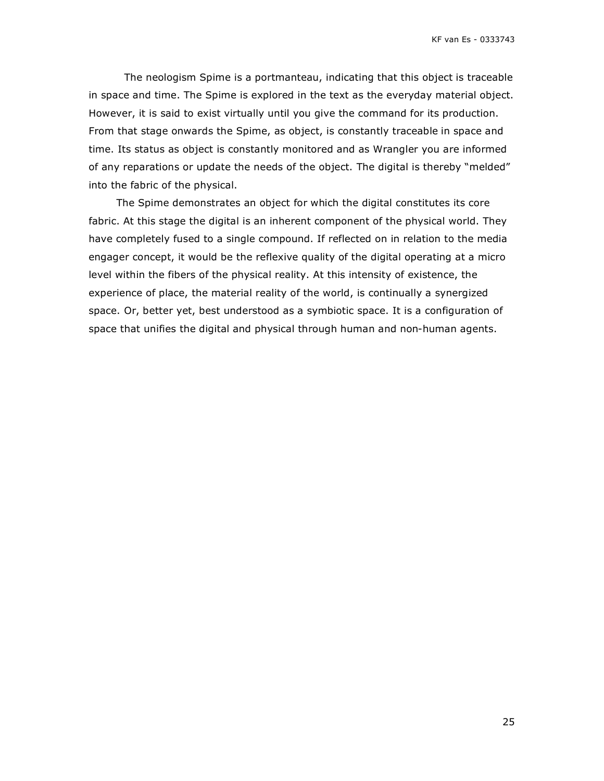The neologism Spime is a portmanteau, indicating that this object is traceable in space and time. The Spime is explored in the text as the everyday material object. However, it is said to exist virtually until you give the command for its production. From that stage onwards the Spime, as object, is constantly traceable in space and time. Its status as object is constantly monitored and as Wrangler you are informed of any reparations or update the needs of the object. The digital is thereby "melded" into the fabric of the physical.

The Spime demonstrates an object for which the digital constitutes its core fabric. At this stage the digital is an inherent component of the physical world. They have completely fused to a single compound. If reflected on in relation to the media engager concept, it would be the reflexive quality of the digital operating at a micro level within the fibers of the physical reality. At this intensity of existence, the experience of place, the material reality of the world, is continually a synergized space. Or, better yet, best understood as a symbiotic space. It is a configuration of space that unifies the digital and physical through human and non-human agents.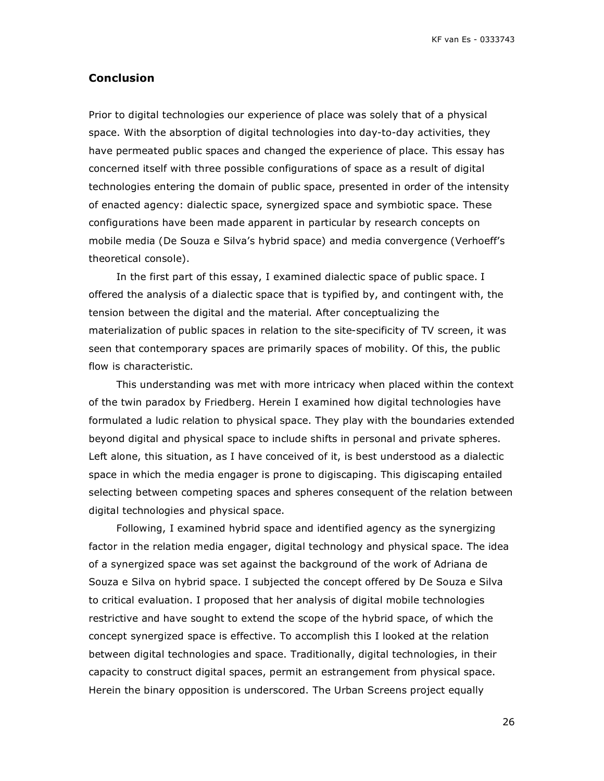# **Conclusion**

Prior to digital technologies our experience of place was solely that of a physical space. With the absorption of digital technologies into day-to-day activities, they have permeated public spaces and changed the experience of place. This essay has concerned itself with three possible configurations of space as a result of digital technologies entering the domain of public space, presented in order of the intensity of enacted agency: dialectic space, synergized space and symbiotic space. These configurations have been made apparent in particular by research concepts on mobile media (De Souza e Silva's hybrid space) and media convergence (Verhoeff's theoretical console).

In the first part of this essay, I examined dialectic space of public space. I offered the analysis of a dialectic space that is typified by, and contingent with, the tension between the digital and the material. After conceptualizing the materialization of public spaces in relation to the site-specificity of TV screen, it was seen that contemporary spaces are primarily spaces of mobility. Of this, the public flow is characteristic.

This understanding was met with more intricacy when placed within the context of the twin paradox by Friedberg. Herein I examined how digital technologies have formulated a ludic relation to physical space. They play with the boundaries extended beyond digital and physical space to include shifts in personal and private spheres. Left alone, this situation, as I have conceived of it, is best understood as a dialectic space in which the media engager is prone to digiscaping. This digiscaping entailed selecting between competing spaces and spheres consequent of the relation between digital technologies and physical space.

Following, I examined hybrid space and identified agency as the synergizing factor in the relation media engager, digital technology and physical space. The idea of a synergized space was set against the background of the work of Adriana de Souza e Silva on hybrid space. I subjected the concept offered by De Souza e Silva to critical evaluation. I proposed that her analysis of digital mobile technologies restrictive and have sought to extend the scope of the hybrid space, of which the concept synergized space is effective. To accomplish this I looked at the relation between digital technologies and space. Traditionally, digital technologies, in their capacity to construct digital spaces, permit an estrangement from physical space. Herein the binary opposition is underscored. The Urban Screens project equally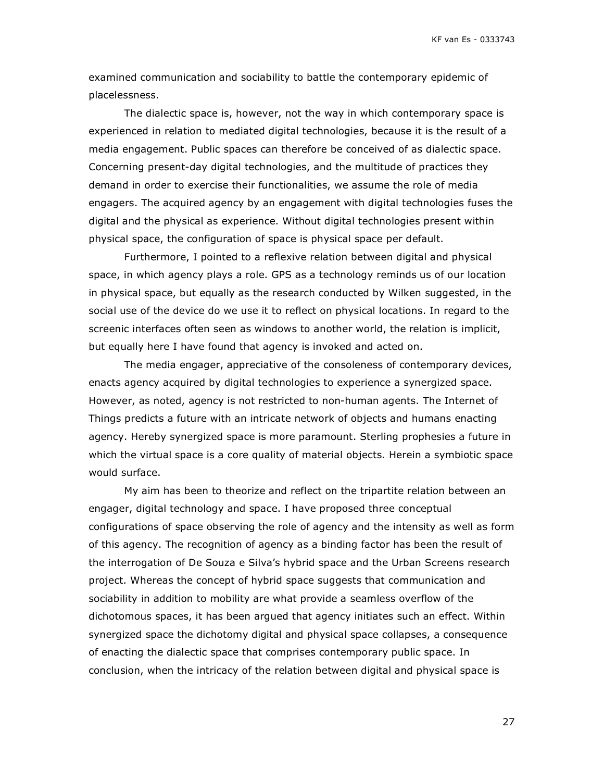examined communication and sociability to battle the contemporary epidemic of placelessness.

The dialectic space is, however, not the way in which contemporary space is experienced in relation to mediated digital technologies, because it is the result of a media engagement. Public spaces can therefore be conceived of as dialectic space. Concerning present-day digital technologies, and the multitude of practices they demand in order to exercise their functionalities, we assume the role of media engagers. The acquired agency by an engagement with digital technologies fuses the digital and the physical as experience. Without digital technologies present within physical space, the configuration of space is physical space per default.

Furthermore, I pointed to a reflexive relation between digital and physical space, in which agency plays a role. GPS as a technology reminds us of our location in physical space, but equally as the research conducted by Wilken suggested, in the social use of the device do we use it to reflect on physical locations. In regard to the screenic interfaces often seen as windows to another world, the relation is implicit, but equally here I have found that agency is invoked and acted on.

The media engager, appreciative of the consoleness of contemporary devices, enacts agency acquired by digital technologies to experience a synergized space. However, as noted, agency is not restricted to non-human agents. The Internet of Things predicts a future with an intricate network of objects and humans enacting agency. Hereby synergized space is more paramount. Sterling prophesies a future in which the virtual space is a core quality of material objects. Herein a symbiotic space would surface.

My aim has been to theorize and reflect on the tripartite relation between an engager, digital technology and space. I have proposed three conceptual configurations of space observing the role of agency and the intensity as well as form of this agency. The recognition of agency as a binding factor has been the result of the interrogation of De Souza e Silva's hybrid space and the Urban Screens research project. Whereas the concept of hybrid space suggests that communication and sociability in addition to mobility are what provide a seamless overflow of the dichotomous spaces, it has been argued that agency initiates such an effect. Within synergized space the dichotomy digital and physical space collapses, a consequence of enacting the dialectic space that comprises contemporary public space. In conclusion, when the intricacy of the relation between digital and physical space is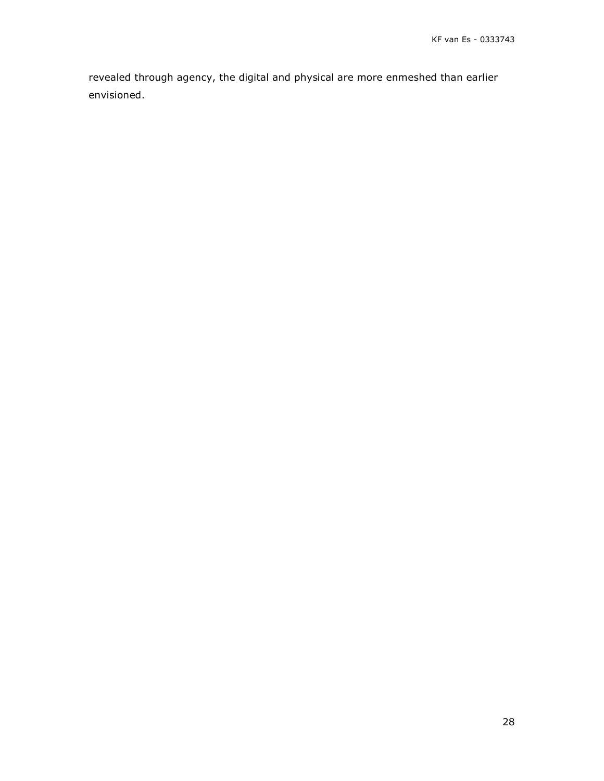revealed through agency, the digital and physical are more enmeshed than earlier envisioned.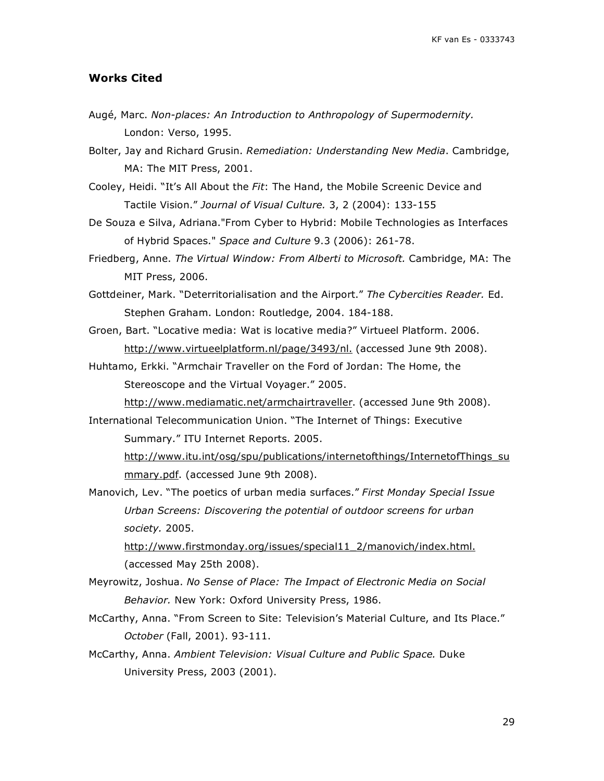#### **Works Cited**

- Augé, Marc. *Non-places: An Introduction to Anthropology of Supermodernity.* London: Verso, 1995.
- Bolter, Jay and Richard Grusin. *Remediation: Understanding New Media*. Cambridge, MA: The MIT Press, 2001.
- Cooley, Heidi. "It's All About the *Fit*: The Hand, the Mobile Screenic Device and Tactile Vision." *Journal of Visual Culture.* 3, 2 (2004): 133-155
- De Souza e Silva, Adriana."From Cyber to Hybrid: Mobile Technologies as Interfaces of Hybrid Spaces." *Space and Culture* 9.3 (2006): 261-78.
- Friedberg, Anne. *The Virtual Window: From Alberti to Microsoft.* Cambridge, MA: The MIT Press, 2006.
- Gottdeiner, Mark. "Deterritorialisation and the Airport." *The Cybercities Reader.* Ed. Stephen Graham. London: Routledge, 2004. 184-188.
- Groen, Bart. "Locative media: Wat is locative media?" Virtueel Platform. 2006. http://www.virtueelplatform.nl/page/3493/nl. (accessed June 9th 2008).
- Huhtamo, Erkki. "Armchair Traveller on the Ford of Jordan: The Home, the Stereoscope and the Virtual Voyager." 2005.
	- http://www.mediamatic.net/armchairtraveller. (accessed June 9th 2008).
- International Telecommunication Union. "The Internet of Things: Executive Summary." ITU Internet Reports. 2005.

http://www.itu.int/osg/spu/publications/internetofthings/InternetofThings\_su mmary.pdf. (accessed June 9th 2008).

Manovich, Lev. "The poetics of urban media surfaces." *First Monday Special Issue Urban Screens: Discovering the potential of outdoor screens for urban society.* 2005.

http://www.firstmonday.org/issues/special11\_2/manovich/index.html. (accessed May 25th 2008).

- Meyrowitz, Joshua. *No Sense of Place: The Impact of Electronic Media on Social Behavior.* New York: Oxford University Press, 1986.
- McCarthy, Anna. "From Screen to Site: Television's Material Culture, and Its Place." *October* (Fall, 2001). 93-111.
- McCarthy, Anna. *Ambient Television: Visual Culture and Public Space.* Duke University Press, 2003 (2001).